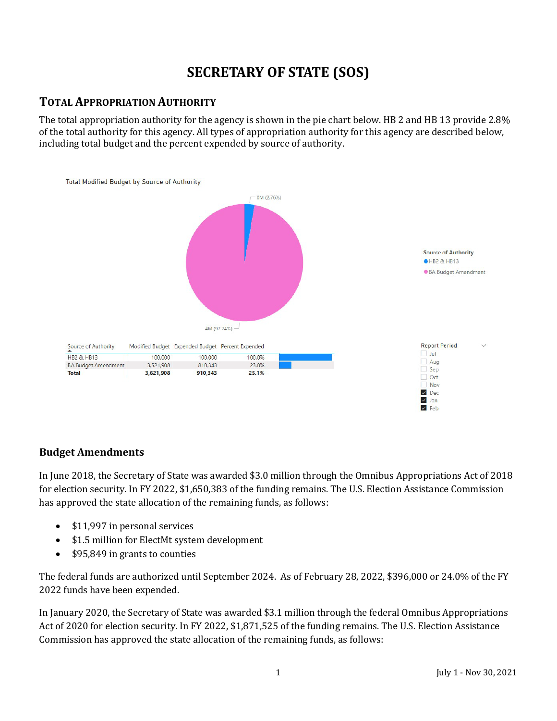# **SECRETARY OF STATE (SOS)**

### **TOTAL APPROPRIATION AUTHORITY**

The total appropriation authority for the agency is shown in the pie chart below. HB 2 and HB 13 provide 2.8% of the total authority for this agency. All types of appropriation authority for this agency are described below, including total budget and the percent expended by source of authority.



#### **Budget Amendments**

In June 2018, the Secretary of State was awarded \$3.0 million through the Omnibus Appropriations Act of 2018 for election security. In FY 2022, \$1,650,383 of the funding remains. The U.S. Election Assistance Commission has approved the state allocation of the remaining funds, as follows:

- \$11,997 in personal services
- \$1.5 million for ElectMt system development
- \$95,849 in grants to counties

The federal funds are authorized until September 2024. As of February 28, 2022, \$396,000 or 24.0% of the FY 2022 funds have been expended.

In January 2020, the Secretary of State was awarded \$3.1 million through the federal Omnibus Appropriations Act of 2020 for election security. In FY 2022, \$1,871,525 of the funding remains. The U.S. Election Assistance Commission has approved the state allocation of the remaining funds, as follows: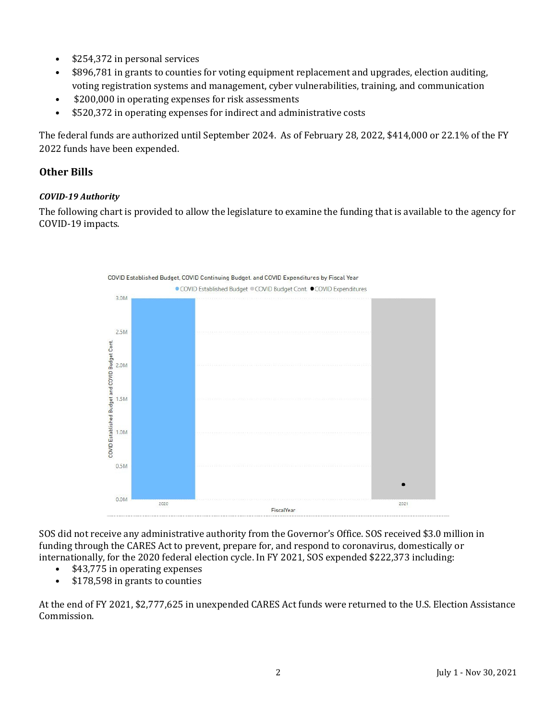- \$254,372 in personal services
- \$896,781 in grants to counties for voting equipment replacement and upgrades, election auditing, voting registration systems and management, cyber vulnerabilities, training, and communication
- \$200,000 in operating expenses for risk assessments
- \$520,372 in operating expenses for indirect and administrative costs

The federal funds are authorized until September 2024. As of February 28, 2022, \$414,000 or 22.1% of the FY 2022 funds have been expended.

#### **Other Bills**

#### *COVID-19 Authority*

The following chart is provided to allow the legislature to examine the funding that is available to the agency for COVID-19 impacts.



SOS did not receive any administrative authority from the Governor's Office. SOS received \$3.0 million in funding through the CARES Act to prevent, prepare for, and respond to coronavirus, domestically or internationally, for the 2020 federal election cycle. In FY 2021, SOS expended \$222,373 including:

- \$43,775 in operating expenses<br>• \$178,598 in grants to counties
- \$178,598 in grants to counties

At the end of FY 2021, \$2,777,625 in unexpended CARES Act funds were returned to the U.S. Election Assistance Commission.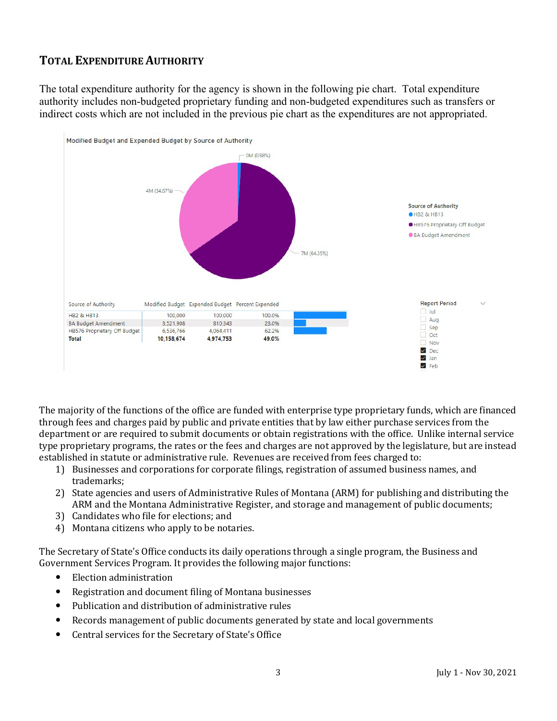### **TOTAL EXPENDITURE AUTHORITY**

The total expenditure authority for the agency is shown in the following pie chart. Total expenditure authority includes non-budgeted proprietary funding and non-budgeted expenditures such as transfers or indirect costs which are not included in the previous pie chart as the expenditures are not appropriated.



The majority of the functions of the office are funded with enterprise type proprietary funds, which are financed through fees and charges paid by public and private entities that by law either purchase services from the department or are required to submit documents or obtain registrations with the office. Unlike internal service type proprietary programs, the rates or the fees and charges are not approved by the legislature, but are instead established in statute or administrative rule. Revenues are received from fees charged to:

- 1) Businesses and corporations for corporate filings, registration of assumed business names, and trademarks;
- 2) State agencies and users of Administrative Rules of Montana (ARM) for publishing and distributing the ARM and the Montana Administrative Register, and storage and management of public documents;
- 3) Candidates who file for elections; and
- 4) Montana citizens who apply to be notaries.

The Secretary of State's Office conducts its daily operations through a single program, the Business and Government Services Program. It provides the following major functions:

- Election administration
- Registration and document filing of Montana businesses
- Publication and distribution of administrative rules
- Records management of public documents generated by state and local governments
- Central services for the Secretary of State's Office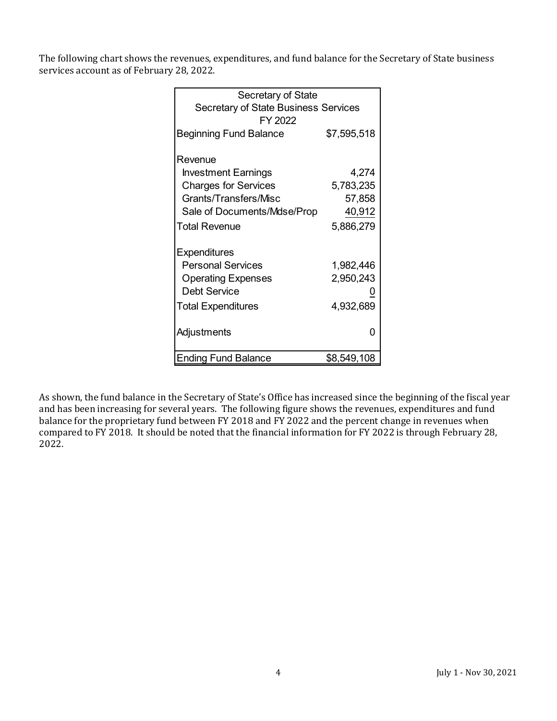The following chart shows the revenues, expenditures, and fund balance for the Secretary of State business services account as of February 28, 2022.

| Secretary of State                          |             |  |  |  |  |
|---------------------------------------------|-------------|--|--|--|--|
| <b>Secretary of State Business Services</b> |             |  |  |  |  |
| FY 2022                                     |             |  |  |  |  |
| <b>Beginning Fund Balance</b>               | \$7,595,518 |  |  |  |  |
|                                             |             |  |  |  |  |
| Revenue                                     |             |  |  |  |  |
| <b>Investment Earnings</b>                  | 4,274       |  |  |  |  |
| <b>Charges for Services</b>                 | 5,783,235   |  |  |  |  |
| Grants/Transfers/Misc                       | 57,858      |  |  |  |  |
| Sale of Documents/Mdse/Prop                 | 40,912      |  |  |  |  |
| <b>Total Revenue</b>                        | 5,886,279   |  |  |  |  |
| <b>Expenditures</b>                         |             |  |  |  |  |
| <b>Personal Services</b>                    | 1,982,446   |  |  |  |  |
| <b>Operating Expenses</b>                   | 2,950,243   |  |  |  |  |
| <b>Debt Service</b>                         |             |  |  |  |  |
|                                             |             |  |  |  |  |
| <b>Total Expenditures</b>                   | 4,932,689   |  |  |  |  |
|                                             | n           |  |  |  |  |
| Adjustments                                 |             |  |  |  |  |
| <b>Ending Fund Balance</b>                  | \$8,549,108 |  |  |  |  |

As shown, the fund balance in the Secretary of State's Office has increased since the beginning of the fiscal year and has been increasing for several years. The following figure shows the revenues, expenditures and fund balance for the proprietary fund between FY 2018 and FY 2022 and the percent change in revenues when compared to FY 2018. It should be noted that the financial information for FY 2022 is through February 28, 2022.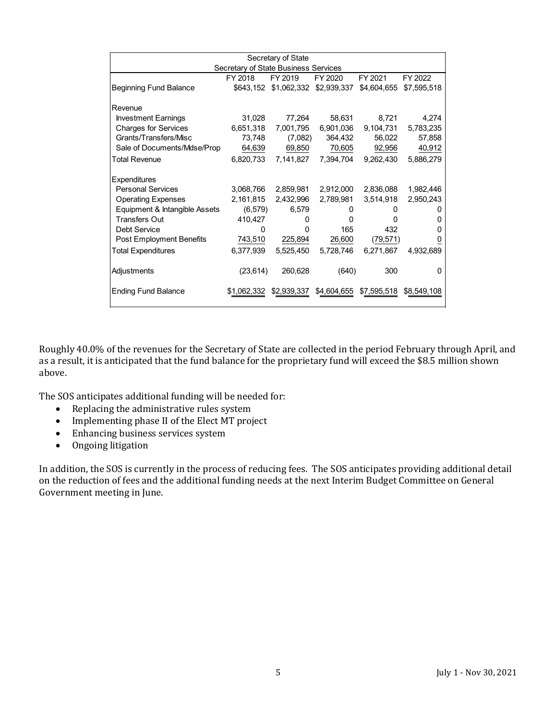| Secretary of State                   |              |           |                         |              |             |  |  |  |  |
|--------------------------------------|--------------|-----------|-------------------------|--------------|-------------|--|--|--|--|
| Secretary of State Business Services |              |           |                         |              |             |  |  |  |  |
|                                      | FY 2018      | FY 2019   | FY 2020                 | FY 2021      | FY 2022     |  |  |  |  |
| Beginning Fund Balance               | \$643,152    |           | \$1,062,332 \$2,939,337 | \$4,604,655  | \$7,595,518 |  |  |  |  |
| IRevenue                             |              |           |                         |              |             |  |  |  |  |
| <b>Investment Earnings</b>           | 31,028       | 77,264    | 58,631                  | 8,721        | 4,274       |  |  |  |  |
| <b>Charges for Services</b>          | 6,651,318    | 7,001,795 | 6,901,036               | 9,104,731    | 5,783,235   |  |  |  |  |
| Grants/Transfers/Misc                | 73,748       | (7,082)   | 364,432                 | 56,022       | 57,858      |  |  |  |  |
| Sale of Documents/Mdse/Prop          | 64,639       | 69,850    | 70,605                  | 92,956       | 40,912      |  |  |  |  |
| Total Revenue                        | 6,820,733    | 7,141,827 | 7,394,704               | 9,262,430    | 5,886,279   |  |  |  |  |
| <b>Expenditures</b>                  |              |           |                         |              |             |  |  |  |  |
| <b>Personal Services</b>             | 3,068,766    | 2,859,981 | 2,912,000               | 2,836,088    | 1,982,446   |  |  |  |  |
| <b>Operating Expenses</b>            | 2,161,815    | 2,432,996 | 2,789,981               | 3,514,918    | 2,950,243   |  |  |  |  |
| Equipment & Intangible Assets        | (6, 579)     | 6,579     | $^{(1)}$                | $^{(1)}$     |             |  |  |  |  |
| <b>Transfers Out</b>                 | 410,427      | 0         | 0                       | <sup>0</sup> | O           |  |  |  |  |
| <b>Debt Service</b>                  | <sup>0</sup> | O         | 165                     | 432          | O           |  |  |  |  |
| Post Employment Benefits             | 743,510      | 225,894   | 26,600                  | (79, 571)    |             |  |  |  |  |
| Total Expenditures                   | 6,377,939    | 5,525,450 | 5,728,746               | 6,271,867    | 4,932,689   |  |  |  |  |
| Adjustments                          | (23, 614)    | 260,628   | (640)                   | 300          | O           |  |  |  |  |
| <b>Ending Fund Balance</b>           | \$1,062,332  |           | \$2,939,337 \$4,604,655 | \$7,595,518  | \$8,549,108 |  |  |  |  |

Roughly 40.0% of the revenues for the Secretary of State are collected in the period February through April, and as a result, it is anticipated that the fund balance for the proprietary fund will exceed the \$8.5 million shown above.

The SOS anticipates additional funding will be needed for:

- Replacing the administrative rules system
- Implementing phase II of the Elect MT project
- Enhancing business services system<br>• Ongoing litigation
- Ongoing litigation

In addition, the SOS is currently in the process of reducing fees. The SOS anticipates providing additional detail on the reduction of fees and the additional funding needs at the next Interim Budget Committee on General Government meeting in June.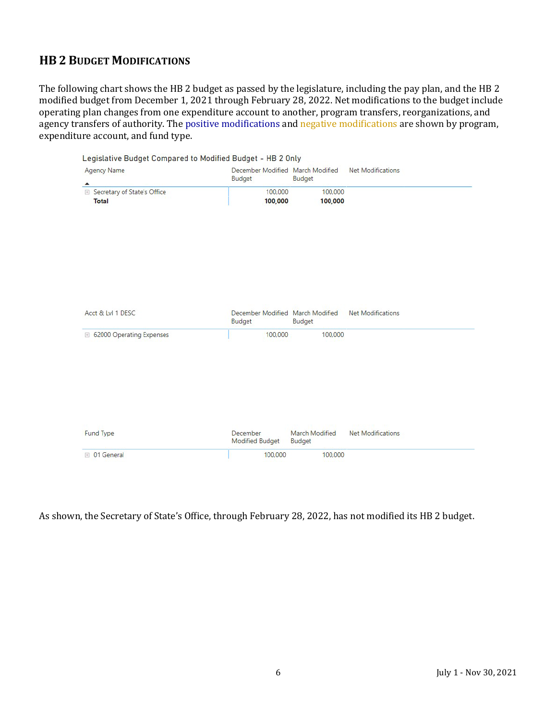# **HB 2 BUDGET MODIFICATIONS**

The following chart shows the HB 2 budget as passed by the legislature, including the pay plan, and the HB 2 modified budget from December 1, 2021 through February 28, 2022. Net modifications to the budget include operating plan changes from one expenditure account to another, program transfers, reorganizations, and agency transfers of authority. The positive modifications and negative modifications are shown by program, expenditure account, and fund type.

|                 |                                     | <b>Net Modifications</b>                                                                                                                                                 |  |
|-----------------|-------------------------------------|--------------------------------------------------------------------------------------------------------------------------------------------------------------------------|--|
|                 |                                     |                                                                                                                                                                          |  |
|                 |                                     |                                                                                                                                                                          |  |
|                 |                                     |                                                                                                                                                                          |  |
|                 |                                     |                                                                                                                                                                          |  |
|                 |                                     |                                                                                                                                                                          |  |
|                 |                                     |                                                                                                                                                                          |  |
|                 |                                     |                                                                                                                                                                          |  |
|                 |                                     |                                                                                                                                                                          |  |
|                 |                                     |                                                                                                                                                                          |  |
|                 |                                     |                                                                                                                                                                          |  |
|                 |                                     |                                                                                                                                                                          |  |
|                 |                                     |                                                                                                                                                                          |  |
|                 |                                     |                                                                                                                                                                          |  |
|                 |                                     |                                                                                                                                                                          |  |
|                 |                                     | Net Modifications                                                                                                                                                        |  |
|                 |                                     |                                                                                                                                                                          |  |
|                 | 100,000                             |                                                                                                                                                                          |  |
|                 |                                     |                                                                                                                                                                          |  |
|                 |                                     |                                                                                                                                                                          |  |
|                 |                                     |                                                                                                                                                                          |  |
|                 |                                     |                                                                                                                                                                          |  |
|                 |                                     |                                                                                                                                                                          |  |
|                 |                                     |                                                                                                                                                                          |  |
|                 |                                     |                                                                                                                                                                          |  |
|                 |                                     |                                                                                                                                                                          |  |
|                 |                                     |                                                                                                                                                                          |  |
| Modified Budget | Budget                              | <b>Net Modifications</b>                                                                                                                                                 |  |
|                 |                                     |                                                                                                                                                                          |  |
|                 | <b>Budget</b><br>Budget<br>December | December Modified March Modified<br><b>Budget</b><br>100,000<br>100,000<br>100,000<br>100,000<br>December Modified March Modified<br>Budget<br>100,000<br>March Modified |  |

#### As shown, the Secretary of State's Office, through February 28, 2022, has not modified its HB 2 budget.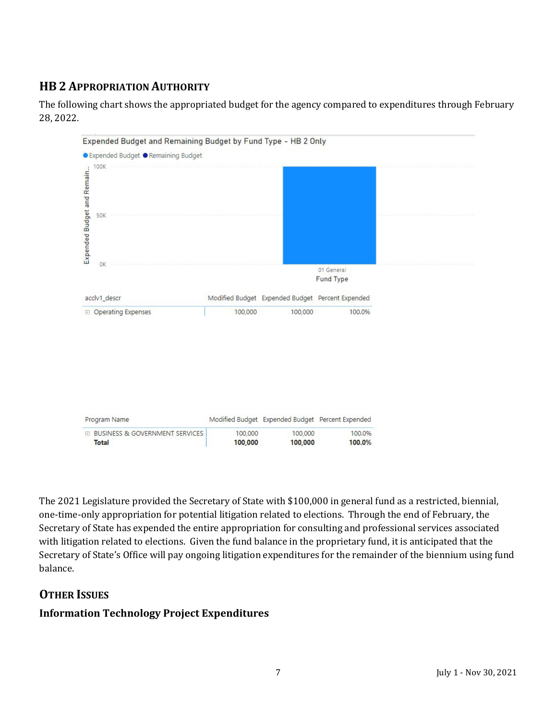# **HB 2 APPROPRIATION AUTHORITY**



The following chart shows the appropriated budget for the agency compared to expenditures through February 28, 2022.

The 2021 Legislature provided the Secretary of State with \$100,000 in general fund as a restricted, biennial, one-time-only appropriation for potential litigation related to elections. Through the end of February, the Secretary of State has expended the entire appropriation for consulting and professional services associated with litigation related to elections. Given the fund balance in the proprietary fund, it is anticipated that the Secretary of State's Office will pay ongoing litigation expenditures for the remainder of the biennium using fund balance.

# **OTHER ISSUES**

#### **Information Technology Project Expenditures**